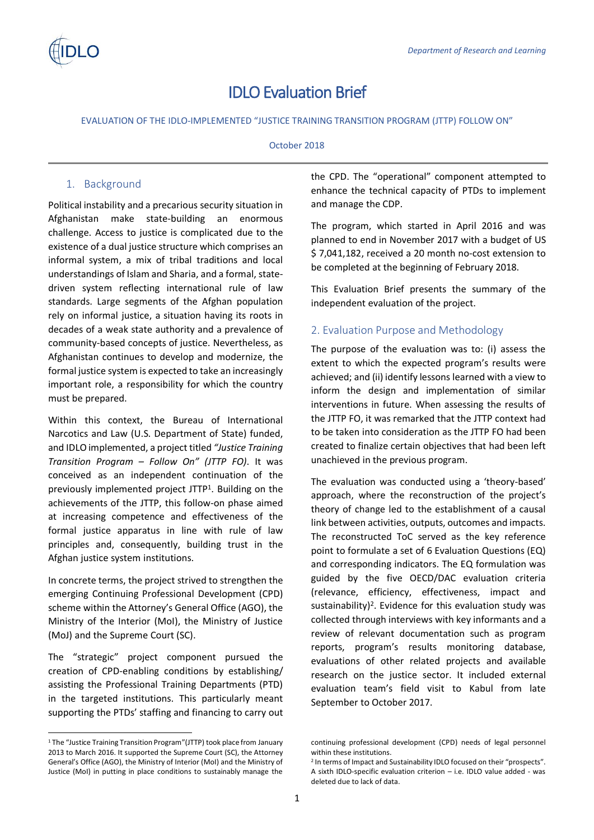

# IDLO Evaluation Brief

EVALUATION OF THE IDLO-IMPLEMENTED "JUSTICE TRAINING TRANSITION PROGRAM (JTTP) FOLLOW ON"

### October 2018

## 1. Background

Political instability and a precarious security situation in Afghanistan make state-building an enormous challenge. Access to justice is complicated due to the existence of a dual justice structure which comprises an informal system, a mix of tribal traditions and local understandings of Islam and Sharia, and a formal, statedriven system reflecting international rule of law standards. Large segments of the Afghan population rely on informal justice, a situation having its roots in decades of a weak state authority and a prevalence of community-based concepts of justice. Nevertheless, as Afghanistan continues to develop and modernize, the formal justice system is expected to take an increasingly important role, a responsibility for which the country must be prepared.

Within this context, the Bureau of International Narcotics and Law (U.S. Department of State) funded, and IDLO implemented, a project titled *"Justice Training Transition Program – Follow On" (JTTP FO)*. It was conceived as an independent continuation of the previously implemented project JTTP<sup>1</sup>. Building on the achievements of the JTTP, this follow-on phase aimed at increasing competence and effectiveness of the formal justice apparatus in line with rule of law principles and, consequently, building trust in the Afghan justice system institutions.

In concrete terms, the project strived to strengthen the emerging Continuing Professional Development (CPD) scheme within the Attorney's General Office (AGO), the Ministry of the Interior (MoI), the Ministry of Justice (MoJ) and the Supreme Court (SC).

The "strategic" project component pursued the creation of CPD-enabling conditions by establishing/ assisting the Professional Training Departments (PTD) in the targeted institutions. This particularly meant supporting the PTDs' staffing and financing to carry out

l

the CPD. The "operational" component attempted to enhance the technical capacity of PTDs to implement and manage the CDP.

The program, which started in April 2016 and was planned to end in November 2017 with a budget of US \$ 7,041,182, received a 20 month no-cost extension to be completed at the beginning of February 2018.

This Evaluation Brief presents the summary of the independent evaluation of the project.

## 2. Evaluation Purpose and Methodology

The purpose of the evaluation was to: (i) assess the extent to which the expected program's results were achieved; and (ii) identify lessons learned with a view to inform the design and implementation of similar interventions in future. When assessing the results of the JTTP FO, it was remarked that the JTTP context had to be taken into consideration as the JTTP FO had been created to finalize certain objectives that had been left unachieved in the previous program.

The evaluation was conducted using a 'theory-based' approach, where the reconstruction of the project's theory of change led to the establishment of a causal link between activities, outputs, outcomes and impacts. The reconstructed ToC served as the key reference point to formulate a set of 6 Evaluation Questions (EQ) and corresponding indicators. The EQ formulation was guided by the five OECD/DAC evaluation criteria (relevance, efficiency, effectiveness, impact and sustainability)<sup>2</sup>. Evidence for this evaluation study was collected through interviews with key informants and a review of relevant documentation such as program reports, program's results monitoring database, evaluations of other related projects and available research on the justice sector. It included external evaluation team's field visit to Kabul from late September to October 2017.

<sup>1</sup> The "Justice Training Transition Program"(JTTP) took place from January 2013 to March 2016. It supported the Supreme Court (SC), the Attorney General's Office (AGO), the Ministry of Interior (MoI) and the Ministry of Justice (MoI) in putting in place conditions to sustainably manage the

continuing professional development (CPD) needs of legal personnel within these institutions.

<sup>&</sup>lt;sup>2</sup> In terms of Impact and Sustainability IDLO focused on their "prospects". A sixth IDLO-specific evaluation criterion – i.e. IDLO value added - was deleted due to lack of data.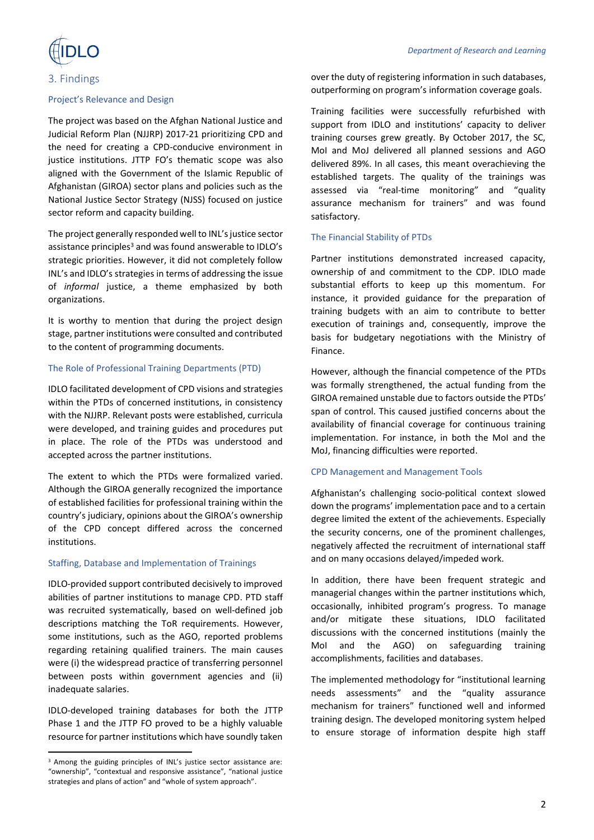

#### 3. Findings

#### Project's Relevance and Design

The project was based on the Afghan National Justice and Judicial Reform Plan (NJJRP) 2017-21 prioritizing CPD and the need for creating a CPD-conducive environment in justice institutions. JTTP FO's thematic scope was also aligned with the Government of the Islamic Republic of Afghanistan (GIROA) sector plans and policies such as the National Justice Sector Strategy (NJSS) focused on justice sector reform and capacity building.

The project generally responded well to INL's justice sector assistance principles<sup>3</sup> and was found answerable to IDLO's strategic priorities. However, it did not completely follow INL's and IDLO's strategies in terms of addressing the issue of *informal* justice, a theme emphasized by both organizations.

It is worthy to mention that during the project design stage, partner institutions were consulted and contributed to the content of programming documents.

### The Role of Professional Training Departments (PTD)

IDLO facilitated development of CPD visions and strategies within the PTDs of concerned institutions, in consistency with the NJJRP. Relevant posts were established, curricula were developed, and training guides and procedures put in place. The role of the PTDs was understood and accepted across the partner institutions.

The extent to which the PTDs were formalized varied. Although the GIROA generally recognized the importance of established facilities for professional training within the country's judiciary, opinions about the GIROA's ownership of the CPD concept differed across the concerned institutions.

#### Staffing, Database and Implementation of Trainings

IDLO-provided support contributed decisively to improved abilities of partner institutions to manage CPD. PTD staff was recruited systematically, based on well-defined job descriptions matching the ToR requirements. However, some institutions, such as the AGO, reported problems regarding retaining qualified trainers. The main causes were (i) the widespread practice of transferring personnel between posts within government agencies and (ii) inadequate salaries.

IDLO-developed training databases for both the JTTP Phase 1 and the JTTP FO proved to be a highly valuable resource for partner institutions which have soundly taken

 $\overline{a}$ 

over the duty of registering information in such databases, outperforming on program's information coverage goals.

Training facilities were successfully refurbished with support from IDLO and institutions' capacity to deliver training courses grew greatly. By October 2017, the SC, MoI and MoJ delivered all planned sessions and AGO delivered 89%. In all cases, this meant overachieving the established targets. The quality of the trainings was assessed via "real-time monitoring" and "quality assurance mechanism for trainers" and was found satisfactory.

#### The Financial Stability of PTDs

Partner institutions demonstrated increased capacity, ownership of and commitment to the CDP. IDLO made substantial efforts to keep up this momentum. For instance, it provided guidance for the preparation of training budgets with an aim to contribute to better execution of trainings and, consequently, improve the basis for budgetary negotiations with the Ministry of Finance.

However, although the financial competence of the PTDs was formally strengthened, the actual funding from the GIROA remained unstable due to factors outside the PTDs' span of control. This caused justified concerns about the availability of financial coverage for continuous training implementation. For instance, in both the MoI and the MoJ, financing difficulties were reported.

#### CPD Management and Management Tools

Afghanistan's challenging socio-political context slowed down the programs' implementation pace and to a certain degree limited the extent of the achievements. Especially the security concerns, one of the prominent challenges, negatively affected the recruitment of international staff and on many occasions delayed/impeded work.

In addition, there have been frequent strategic and managerial changes within the partner institutions which, occasionally, inhibited program's progress. To manage and/or mitigate these situations, IDLO facilitated discussions with the concerned institutions (mainly the MoI and the AGO) on safeguarding training accomplishments, facilities and databases.

The implemented methodology for "institutional learning needs assessments" and the "quality assurance mechanism for trainers" functioned well and informed training design. The developed monitoring system helped to ensure storage of information despite high staff

<sup>&</sup>lt;sup>3</sup> Among the guiding principles of INL's justice sector assistance are: "ownership", "contextual and responsive assistance", "national justice strategies and plans of action" and "whole of system approach".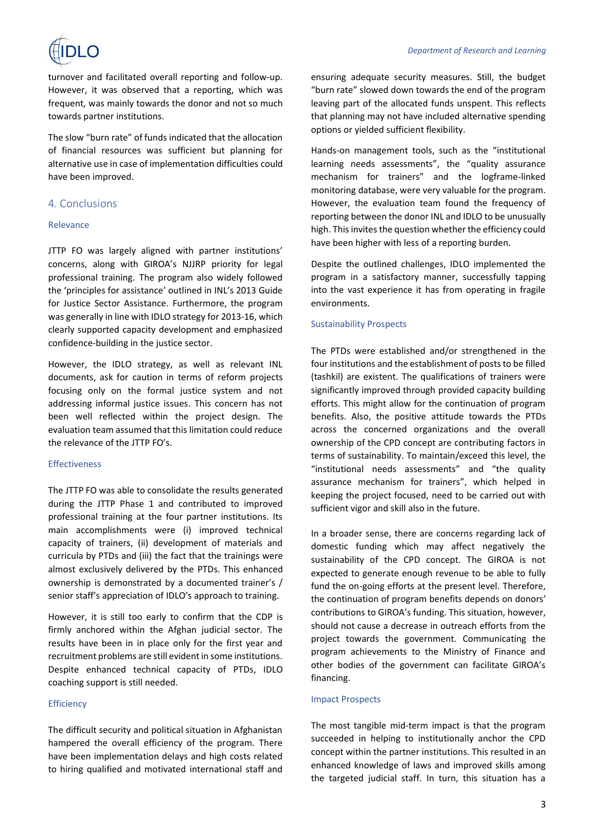

turnover and facilitated overall reporting and follow-up. However, it was observed that a reporting, which was frequent, was mainly towards the donor and not so much towards partner institutions.

The slow "burn rate" of funds indicated that the allocation of financial resources was sufficient but planning for alternative use in case of implementation difficulties could have been improved.

## 4. Conclusions

### Relevance

JTTP FO was largely aligned with partner institutions' concerns, along with GIROA's NJJRP priority for legal professional training. The program also widely followed the 'principles for assistance' outlined in INL's 2013 Guide for Justice Sector Assistance. Furthermore, the program was generally in line with IDLO strategy for 2013-16, which clearly supported capacity development and emphasized confidence-building in the justice sector.

However, the IDLO strategy, as well as relevant INL documents, ask for caution in terms of reform projects focusing only on the formal justice system and not addressing informal justice issues. This concern has not been well reflected within the project design. The evaluation team assumed that this limitation could reduce the relevance of the JTTP FO's.

#### Effectiveness

The JTTP FO was able to consolidate the results generated during the JTTP Phase 1 and contributed to improved professional training at the four partner institutions. Its main accomplishments were (i) improved technical capacity of trainers, (ii) development of materials and curricula by PTDs and (iii) the fact that the trainings were almost exclusively delivered by the PTDs. This enhanced ownership is demonstrated by a documented trainer's / senior staff's appreciation of IDLO's approach to training.

However, it is still too early to confirm that the CDP is firmly anchored within the Afghan judicial sector. The results have been in in place only for the first year and recruitment problems are still evident in some institutions. Despite enhanced technical capacity of PTDs, IDLO coaching support is still needed.

#### **Efficiency**

The difficult security and political situation in Afghanistan hampered the overall efficiency of the program. There have been implementation delays and high costs related to hiring qualified and motivated international staff and

ensuring adequate security measures. Still, the budget "burn rate" slowed down towards the end of the program leaving part of the allocated funds unspent. This reflects that planning may not have included alternative spending options or yielded sufficient flexibility.

Hands-on management tools, such as the "institutional learning needs assessments", the "quality assurance mechanism for trainers" and the logframe-linked monitoring database, were very valuable for the program. However, the evaluation team found the frequency of reporting between the donor INL and IDLO to be unusually high. This invites the question whether the efficiency could have been higher with less of a reporting burden.

Despite the outlined challenges, IDLO implemented the program in a satisfactory manner, successfully tapping into the vast experience it has from operating in fragile environments.

#### Sustainability Prospects

The PTDs were established and/or strengthened in the four institutions and the establishment of posts to be filled (tashkil) are existent. The qualifications of trainers were significantly improved through provided capacity building efforts. This might allow for the continuation of program benefits. Also, the positive attitude towards the PTDs across the concerned organizations and the overall ownership of the CPD concept are contributing factors in terms of sustainability. To maintain/exceed this level, the "institutional needs assessments" and "the quality assurance mechanism for trainers", which helped in keeping the project focused, need to be carried out with sufficient vigor and skill also in the future.

In a broader sense, there are concerns regarding lack of domestic funding which may affect negatively the sustainability of the CPD concept. The GIROA is not expected to generate enough revenue to be able to fully fund the on-going efforts at the present level. Therefore, the continuation of program benefits depends on donors' contributions to GIROA's funding. This situation, however, should not cause a decrease in outreach efforts from the project towards the government. Communicating the program achievements to the Ministry of Finance and other bodies of the government can facilitate GIROA's financing.

#### Impact Prospects

The most tangible mid-term impact is that the program succeeded in helping to institutionally anchor the CPD concept within the partner institutions. This resulted in an enhanced knowledge of laws and improved skills among the targeted judicial staff. In turn, this situation has a